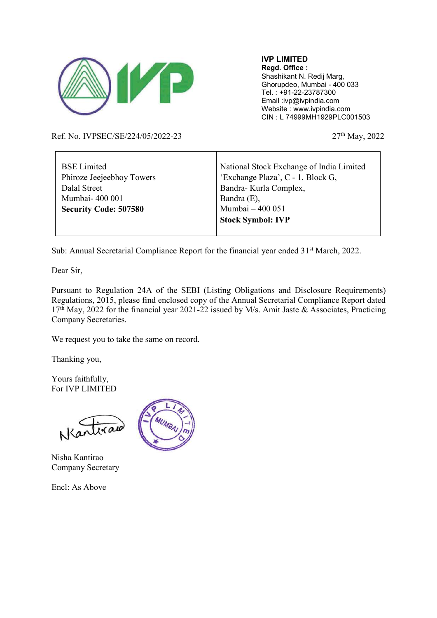

IVP LIMITED Regd. Office : Shashikant N. Redij Marg, Ghorupdeo, Mumbai - 400 033 Tel. : +91-22-23787300 Email :ivp@ivpindia.com Website : www.ivpindia.com CIN : L 74999MH1929PLC001503

Ref. No. IVPSEC/SE/224/05/2022-23 27<sup>th</sup> May, 2022

| <b>BSE</b> Limited           | National Stock Exchange of India Limited |  |
|------------------------------|------------------------------------------|--|
| Phiroze Jeejeebhoy Towers    | 'Exchange Plaza', C - 1, Block G,        |  |
| Dalal Street                 | Bandra- Kurla Complex,                   |  |
| Mumbai-400 001               | Bandra $(E)$ ,                           |  |
| <b>Security Code: 507580</b> | Mumbai - 400 051                         |  |
|                              | <b>Stock Symbol: IVP</b>                 |  |
|                              |                                          |  |

Т

Sub: Annual Secretarial Compliance Report for the financial year ended 31<sup>st</sup> March, 2022.

Dear Sir,

Pursuant to Regulation 24A of the SEBI (Listing Obligations and Disclosure Requirements) Regulations, 2015, please find enclosed copy of the Annual Secretarial Compliance Report dated 17th May, 2022 for the financial year 2021-22 issued by M/s. Amit Jaste & Associates, Practicing Company Secretaries.

We request you to take the same on record.

Thanking you,

Yours faithfully, For IVP LIMITED

Nartiral

Nisha Kantirao Company Secretary

Encl: As Above

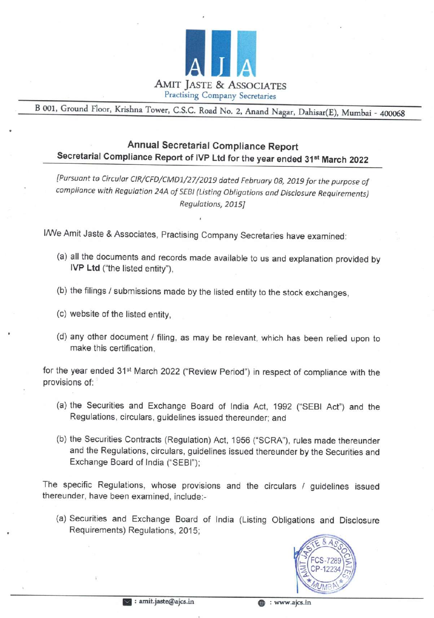

<sup>B</sup>001, Ground Floor, Krishna Tower, C.S.C. Road No. 2, Anand Nagar, Dahisar(E), Mumbai - <sup>400068</sup>

## Annual Secretarial Compliance Report<br>Secretarial Compliance Report of IVP Ltd for the year ended 31<sup>st</sup> March 2022

[Pursuant to Circular CIR/CFD/CMD1/27/2019 dated February 08, 2019 for the purpose of compliance with Regulation 24A of SEBI (Listing Obligations and Disclosure Requirements) Regulations, 2015]

We Amit Jaste & Associates, Practising Company Secretaries have examined:

- (a) all the documents and records made available to us and explanation provided by IVP Ltd ("the listed entity'),
- (b) the filings / submissions made by the listed entity to the stock exchanges,
- (c) website of the listed entity,
- (d) any other document / filing, as may be relevant, which has been relied upon to make this certification,

for the year ended 31<sup>st</sup> March 2022 ("Review Period") in respect of compliance with the provisions of: $\overline{\phantom{a}}$ 

- (a) the Securities and Exchange Board of India Act, 1992 ("SEBI Act") and the Regulations, circulars, guidelines issued thereunder; and
- (b) the Securities Contracts (Regulation) Act, 1956 ("SCRA"), rules made thereunder and the Regulations, circulars, guidelines issued thereunder by the Securities and Exchange Board of India ("SEBI'); compliance with Regulation 24A of SEBI (Listing Obligations and Discloss<br>
Regulations, 2015]<br>
IMVe Amit Jaste & Associates, Practising Company Secretaries have<br>
(a) all the documents and records made available to us and ex

The specific Regulations, whose provisions and the circulars / guidelines issued thereunder, have been examined, include:-

(a) Securities and Exchange Board of India (Listing Obligations and Disclosure Requirements) Regulations, 2015;

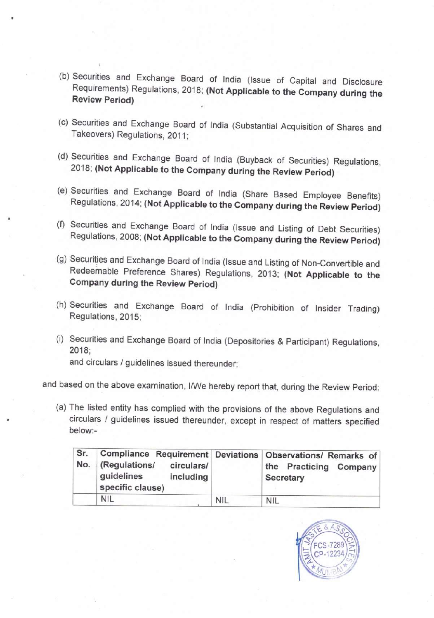- (b) Securities and Exchange Board of India (Issue of Capital and Disclosure Requirements) Regulations, 2018; (Not Applicable to the Company during the Review Period)
- (c) Securities and Exchange Board of India (Substantial Acquisition of Shares and Takeovers) Regulations, 2011:
- (d) Securities and Exchange Board of India (Buyback of Securities) Regulations, 2018; (Not Applicable to the Company during the Review Period)
- (e) Securities and Exchange Board of India (Share Based Employee Benefits) Regulations, 2014; (Not Applicable to the Company during the Review Period)
- (f) Securities and Exchange Board of India (Issue and Listing of Debt Securities) Regulations, 2008; (Not Applicable to the Company during the Review Period)
- (g) Securities and Exchange Board of India (Issue and Listing of Non-Convertible and Redeemable Preference Shares) Regulations, 2013; (Not Applicable to the Company during the Review Period) Securities and Exchange Board of Ind<br>2018; (Not Applicable to the Company<br>Securities and Exchange Board of Independent<br>Regulations, 2014; (Not Applicable to the<br>Regulations, 2008; (Not Applicable to the<br>Regulations, 2008;
- (h) Securities and Exchange Board of India (Prohibition of Insider Trading) Regulations, 2015:
- (i) Securities and Exchange Board of India (Depositories & Participant) Regulations, 2018;

and based on the above examination, I/We hereby report that, during the Review Period:

(a) The listed entity has complied with the provisions of the above Regulations and circulars / guidelines issued thereunder, except in respect of matters specified below:-

| elow:-<br>Sr. | The listed entity has complied with the provisions of the above Regulations and<br>Compliance Requirement<br>No. (Regulations/<br>circulars/ | <b>Deviations</b> | circulars / guidelines issued thereunder, except in respect of matters specified<br>Observations/ Remarks of<br>the Practicing Company                       |
|---------------|----------------------------------------------------------------------------------------------------------------------------------------------|-------------------|--------------------------------------------------------------------------------------------------------------------------------------------------------------|
|               |                                                                                                                                              |                   |                                                                                                                                                              |
|               |                                                                                                                                              |                   |                                                                                                                                                              |
|               |                                                                                                                                              |                   | ed on the above examination, I/We hereby report that, during the Review Period:                                                                              |
|               | and circulars / guidelines issued thereunder;                                                                                                |                   |                                                                                                                                                              |
| 2018:         |                                                                                                                                              |                   | Securities and Exchange Board of India (Depositories & Participant) Regulations,                                                                             |
|               | Regulations, 2015;                                                                                                                           |                   | Securities and Exchange Board of India (Prohibition of Insider Trading)                                                                                      |
|               | Company during the Review Period)                                                                                                            |                   | Securities and Exchange Board of India (Issue and Listing of Non-Convertible and<br>Redeemable Preference Shares) Regulations, 2013; (Not Applicable to the  |
|               |                                                                                                                                              |                   | Securities and Exchange Board of India (Issue and Listing of Debt Securities)<br>Regulations, 2008; (Not Applicable to the Company during the Review Period) |
|               |                                                                                                                                              |                   |                                                                                                                                                              |

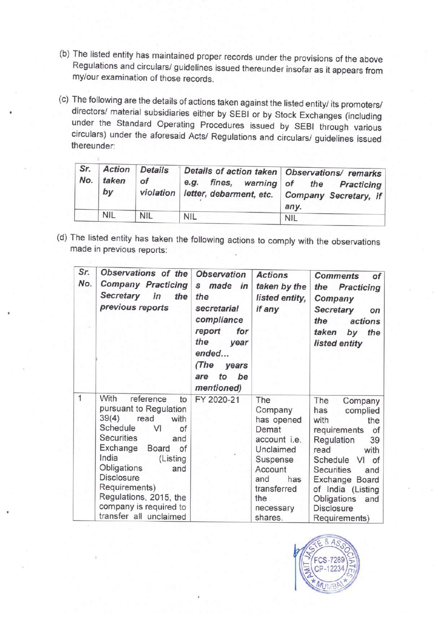- (b) The listed entity has maintained proper records under the provisions of the above Regulations and circulars/ guidelines issued thereunder insofar as it appears from my/our examination of those records.
- (c) The following are the details of actions taken against the listed entity/ its promoters/<br>directors/ material subsidiaries either by SEBI or by Stock Exchanges (including<br>under the Standard Operating Procedures issued b The listed entity has maintained proper re<br>
Regulations and circulars/ guidelines issumy/our examination of those records.<br>
The following are the details of actions take<br>
lirectors/ material subsidiaries either by<br>
under t circulars) under the aforesaid Acts/ Regulations and circulars/ guidelines issued The listed entity has maintained proper records.<br>
Regulations and circulars/ guidelines issumy/our examination of those records.<br>
The following are the details of actions take<br>
directors/ material subsidiaries either by<br>
u thereunder:

|            |                                            | my/our examination of those records. |                                                                                 | The listed entity has maintained proper records under the provisions of the above<br>Regulations and circulars/ guidelines issued thereunder insofar as it appears from                                                                                |
|------------|--------------------------------------------|--------------------------------------|---------------------------------------------------------------------------------|--------------------------------------------------------------------------------------------------------------------------------------------------------------------------------------------------------------------------------------------------------|
|            |                                            |                                      |                                                                                 | The following are the details of actions taken against the listed entity/ its promoters/<br>directors/ material subsidiaries either by SEBI or by Stock Exchanges (including<br>under the Standard Operating Procedures issued by SEBI through various |
| hereunder: |                                            |                                      |                                                                                 | circulars) under the aforesaid Acts/ Regulations and circulars/ guidelines issued                                                                                                                                                                      |
| Sr.<br>No. | <b>Action</b><br>taken<br>by<br><b>NIL</b> | <b>Details</b><br>of<br>violation    | Details of action taken<br>e.g.<br>fines,<br>warning<br>letter, debarment, etc. | Observations/ remarks<br>of<br>the<br>Practicing<br>Company Secretary, if<br>any.                                                                                                                                                                      |

(d) The listed entity has taken the following actions to comply with the observations made in previous reports:

| thereunder: |                                                                                                                   |                                                                                                                                                              |                                                                                                                                                                          |                                                                                                                                                |                                | The following are the details of actions taken against the listed entity/ its promoters/<br>directors/ material subsidiaries either by SEBI or by Stock Exchanges (including<br>under the Standard Operating Procedures issued by SEBI through various<br>circulars) under the aforesaid Acts/ Regulations and circulars/ guidelines issued |
|-------------|-------------------------------------------------------------------------------------------------------------------|--------------------------------------------------------------------------------------------------------------------------------------------------------------|--------------------------------------------------------------------------------------------------------------------------------------------------------------------------|------------------------------------------------------------------------------------------------------------------------------------------------|--------------------------------|---------------------------------------------------------------------------------------------------------------------------------------------------------------------------------------------------------------------------------------------------------------------------------------------------------------------------------------------|
| Sr.<br>No.  | <b>Action</b><br>taken<br>by                                                                                      | <b>Details</b><br>of<br>violation                                                                                                                            | Details of action taken<br>e.g.<br>fines,<br>letter, debarment, etc.                                                                                                     | warning                                                                                                                                        | of<br>any.                     | Observations/ remarks<br>the<br>Practicing<br>Company Secretary, if                                                                                                                                                                                                                                                                         |
|             | <b>NIL</b>                                                                                                        | <b>NIL</b>                                                                                                                                                   | <b>NIL</b>                                                                                                                                                               |                                                                                                                                                | <b>NIL</b>                     |                                                                                                                                                                                                                                                                                                                                             |
| Sr.<br>No.  | nade in previous reports:<br>Secretary                                                                            | Observations of the<br><b>Company Practicing</b><br>in<br>previous reports                                                                                   | <b>Observation</b><br>made in<br>s<br>the<br>the<br>secretarial<br>compliance<br>report<br>for<br>the<br>year<br>ended<br>(The<br>years<br>to<br>be<br>are<br>mentioned) | <b>Actions</b><br>if any                                                                                                                       | taken by the<br>listed entity, | <b>Comments</b><br>of <sub>1</sub><br>the<br><b>Practicing</b><br>Company<br>Secretary<br>on<br>the<br>actions<br>taken<br>the<br>by<br>listed entity                                                                                                                                                                                       |
| 1           | With<br>39(4)<br>Schedule<br>Securities<br>Exchange<br>India<br>Obligations<br><b>Disclosure</b><br>Requirements) | reference<br>pursuant to Regulation<br>read<br>with<br>VI<br>Board<br>(Listing<br>Regulations, 2015, the<br>company is required to<br>transfer all unclaimed | FY 2020-21<br>to<br>оf<br>and<br>of<br>and                                                                                                                               | The<br>Company<br>has opened<br>Demat<br>account i.e.<br>Unclaimed<br>Suspense<br>Account<br>and<br>transferred<br>the<br>necessary<br>shares. | has                            | The<br>Company<br>has<br>complied<br>with<br>the<br>requirements<br>of<br>Regulation<br>39<br>read<br>with<br>Schedule VI of<br><b>Securities</b><br>and<br>Exchange Board<br>of India (Listing<br>Obligations<br>and<br><b>Disclosure</b><br>Requirements)                                                                                 |